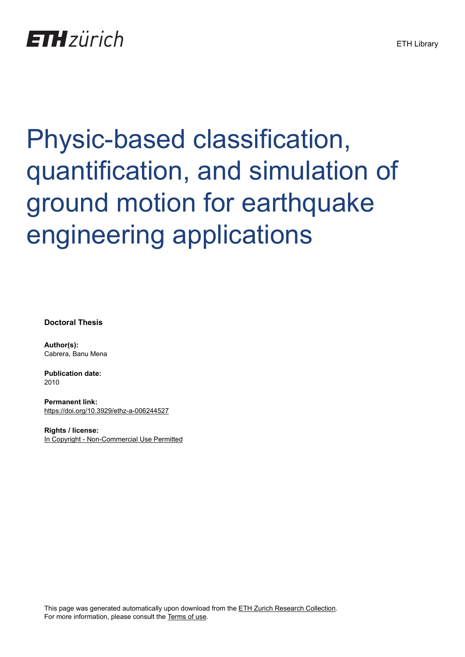## Physic-based classification, quantification, and simulation of ground motion for earthquake engineering applications

**Doctoral Thesis**

**Author(s):** Cabrera, Banu Mena

**Publication date:** 2010

**Permanent link:** <https://doi.org/10.3929/ethz-a-006244527>

**Rights / license:** [In Copyright - Non-Commercial Use Permitted](http://rightsstatements.org/page/InC-NC/1.0/)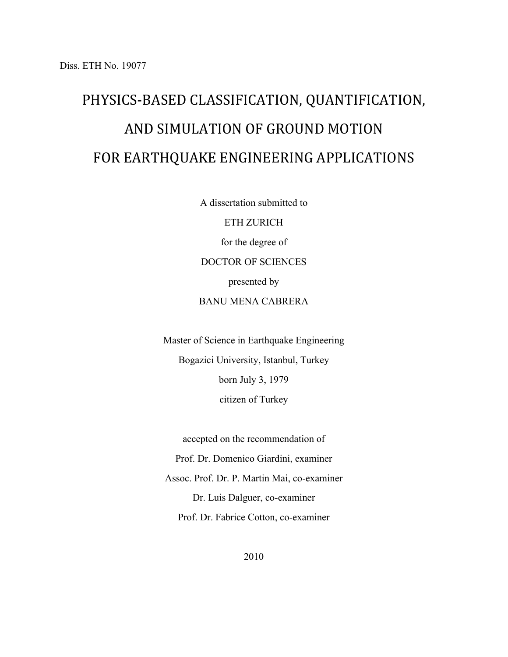## PHYSICS-BASED CLASSIFICATION, QUANTIFICATION, AND SIMULATION OF GROUND MOTION FOR EARTHQUAKE ENGINEERING APPLICATIONS

A dissertation submitted to ETH ZURICH

for the degree of DOCTOR OF SCIENCES presented by BANU MENA CABRERA

Master of Science in Earthquake Engineering Bogazici University, Istanbul, Turkey born July 3, 1979 citizen of Turkey

accepted on the recommendation of Prof. Dr. Domenico Giardini, examiner Assoc. Prof. Dr. P. Martin Mai, co-examiner Dr. Luis Dalguer, co-examiner Prof. Dr. Fabrice Cotton, co-examiner

2010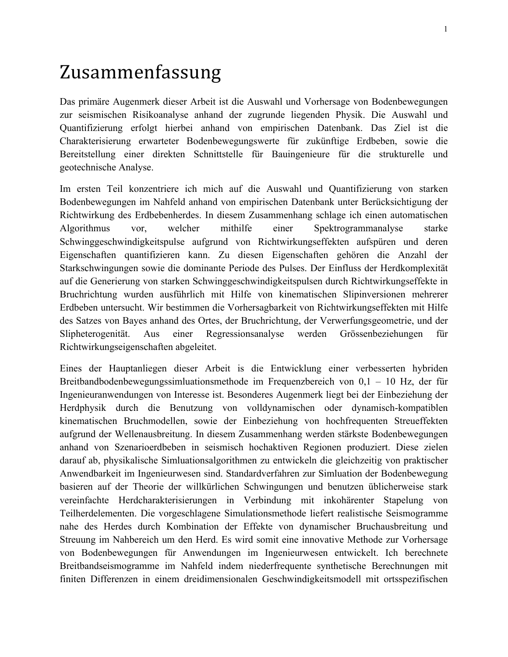## Zusammenfassung

Das primäre Augenmerk dieser Arbeit ist die Auswahl und Vorhersage von Bodenbewegungen zur seismischen Risikoanalyse anhand der zugrunde liegenden Physik. Die Auswahl und Quantifizierung erfolgt hierbei anhand von empirischen Datenbank. Das Ziel ist die Charakterisierung erwarteter Bodenbewegungswerte für zukünftige Erdbeben, sowie die Bereitstellung einer direkten Schnittstelle für Bauingenieure für die strukturelle und geotechnische Analyse.

Im ersten Teil konzentriere ich mich auf die Auswahl und Quantifizierung von starken Bodenbewegungen im Nahfeld anhand von empirischen Datenbank unter Berücksichtigung der Richtwirkung des Erdbebenherdes. In diesem Zusammenhang schlage ich einen automatischen Algorithmus vor, welcher mithilfe einer Spektrogrammanalyse starke Schwinggeschwindigkeitspulse aufgrund von Richtwirkungseffekten aufspüren und deren Eigenschaften quantifizieren kann. Zu diesen Eigenschaften gehören die Anzahl der Starkschwingungen sowie die dominante Periode des Pulses. Der Einfluss der Herdkomplexität auf die Generierung von starken Schwinggeschwindigkeitspulsen durch Richtwirkungseffekte in Bruchrichtung wurden ausführlich mit Hilfe von kinematischen Slipinversionen mehrerer Erdbeben untersucht. Wir bestimmen die Vorhersagbarkeit von Richtwirkungseffekten mit Hilfe des Satzes von Bayes anhand des Ortes, der Bruchrichtung, der Verwerfungsgeometrie, und der Slipheterogenität. Aus einer Regressionsanalyse werden Grössenbeziehungen für Richtwirkungseigenschaften abgeleitet.

Eines der Hauptanliegen dieser Arbeit is die Entwicklung einer verbesserten hybriden Breitbandbodenbewegungssimluationsmethode im Frequenzbereich von 0,1 – 10 Hz, der für Ingenieuranwendungen von Interesse ist. Besonderes Augenmerk liegt bei der Einbeziehung der Herdphysik durch die Benutzung von volldynamischen oder dynamisch-kompatiblen kinematischen Bruchmodellen, sowie der Einbeziehung von hochfrequenten Streueffekten aufgrund der Wellenausbreitung. In diesem Zusammenhang werden stärkste Bodenbewegungen anhand von Szenarioerdbeben in seismisch hochaktiven Regionen produziert. Diese zielen darauf ab, physikalische Simluationsalgorithmen zu entwickeln die gleichzeitig von praktischer Anwendbarkeit im Ingenieurwesen sind. Standardverfahren zur Simluation der Bodenbewegung basieren auf der Theorie der willkürlichen Schwingungen und benutzen üblicherweise stark vereinfachte Herdcharakterisierungen in Verbindung mit inkohärenter Stapelung von Teilherdelementen. Die vorgeschlagene Simulationsmethode liefert realistische Seismogramme nahe des Herdes durch Kombination der Effekte von dynamischer Bruchausbreitung und Streuung im Nahbereich um den Herd. Es wird somit eine innovative Methode zur Vorhersage von Bodenbewegungen für Anwendungen im Ingenieurwesen entwickelt. Ich berechnete Breitbandseismogramme im Nahfeld indem niederfrequente synthetische Berechnungen mit finiten Differenzen in einem dreidimensionalen Geschwindigkeitsmodell mit ortsspezifischen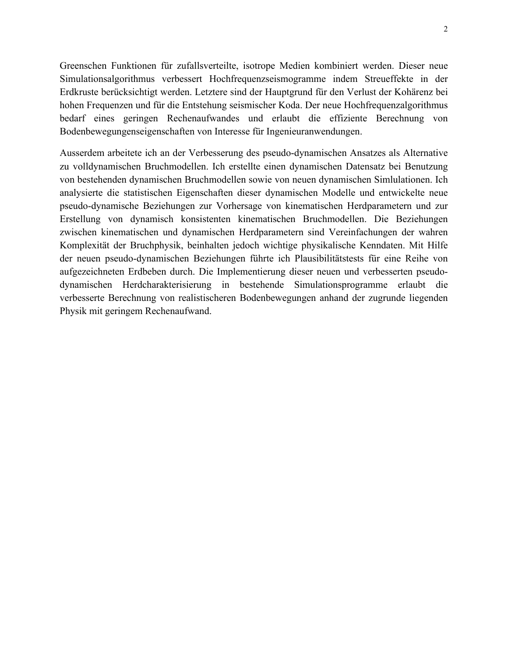Greenschen Funktionen für zufallsverteilte, isotrope Medien kombiniert werden. Dieser neue Simulationsalgorithmus verbessert Hochfrequenzseismogramme indem Streueffekte in der Erdkruste berücksichtigt werden. Letztere sind der Hauptgrund für den Verlust der Kohärenz bei hohen Frequenzen und für die Entstehung seismischer Koda. Der neue Hochfrequenzalgorithmus bedarf eines geringen Rechenaufwandes und erlaubt die effiziente Berechnung von Bodenbewegungenseigenschaften von Interesse für Ingenieuranwendungen.

Ausserdem arbeitete ich an der Verbesserung des pseudo-dynamischen Ansatzes als Alternative zu volldynamischen Bruchmodellen. Ich erstellte einen dynamischen Datensatz bei Benutzung von bestehenden dynamischen Bruchmodellen sowie von neuen dynamischen Simlulationen. Ich analysierte die statistischen Eigenschaften dieser dynamischen Modelle und entwickelte neue pseudo-dynamische Beziehungen zur Vorhersage von kinematischen Herdparametern und zur Erstellung von dynamisch konsistenten kinematischen Bruchmodellen. Die Beziehungen zwischen kinematischen und dynamischen Herdparametern sind Vereinfachungen der wahren Komplexität der Bruchphysik, beinhalten jedoch wichtige physikalische Kenndaten. Mit Hilfe der neuen pseudo-dynamischen Beziehungen führte ich Plausibilitätstests für eine Reihe von aufgezeichneten Erdbeben durch. Die Implementierung dieser neuen und verbesserten pseudodynamischen Herdcharakterisierung in bestehende Simulationsprogramme erlaubt die verbesserte Berechnung von realistischeren Bodenbewegungen anhand der zugrunde liegenden Physik mit geringem Rechenaufwand.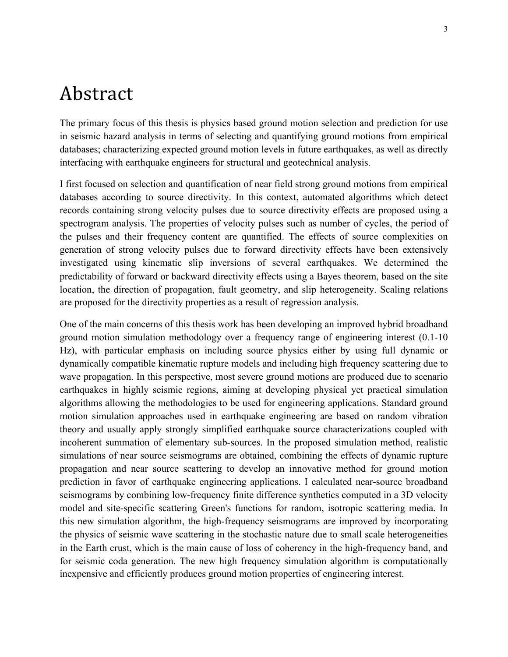## Abstract

The primary focus of this thesis is physics based ground motion selection and prediction for use in seismic hazard analysis in terms of selecting and quantifying ground motions from empirical databases; characterizing expected ground motion levels in future earthquakes, as well as directly interfacing with earthquake engineers for structural and geotechnical analysis.

I first focused on selection and quantification of near field strong ground motions from empirical databases according to source directivity. In this context, automated algorithms which detect records containing strong velocity pulses due to source directivity effects are proposed using a spectrogram analysis. The properties of velocity pulses such as number of cycles, the period of the pulses and their frequency content are quantified. The effects of source complexities on generation of strong velocity pulses due to forward directivity effects have been extensively investigated using kinematic slip inversions of several earthquakes. We determined the predictability of forward or backward directivity effects using a Bayes theorem, based on the site location, the direction of propagation, fault geometry, and slip heterogeneity. Scaling relations are proposed for the directivity properties as a result of regression analysis.

One of the main concerns of this thesis work has been developing an improved hybrid broadband ground motion simulation methodology over a frequency range of engineering interest (0.1-10 Hz), with particular emphasis on including source physics either by using full dynamic or dynamically compatible kinematic rupture models and including high frequency scattering due to wave propagation. In this perspective, most severe ground motions are produced due to scenario earthquakes in highly seismic regions, aiming at developing physical yet practical simulation algorithms allowing the methodologies to be used for engineering applications. Standard ground motion simulation approaches used in earthquake engineering are based on random vibration theory and usually apply strongly simplified earthquake source characterizations coupled with incoherent summation of elementary sub-sources. In the proposed simulation method, realistic simulations of near source seismograms are obtained, combining the effects of dynamic rupture propagation and near source scattering to develop an innovative method for ground motion prediction in favor of earthquake engineering applications. I calculated near-source broadband seismograms by combining low-frequency finite difference synthetics computed in a 3D velocity model and site-specific scattering Green's functions for random, isotropic scattering media. In this new simulation algorithm, the high-frequency seismograms are improved by incorporating the physics of seismic wave scattering in the stochastic nature due to small scale heterogeneities in the Earth crust, which is the main cause of loss of coherency in the high-frequency band, and for seismic coda generation. The new high frequency simulation algorithm is computationally inexpensive and efficiently produces ground motion properties of engineering interest.